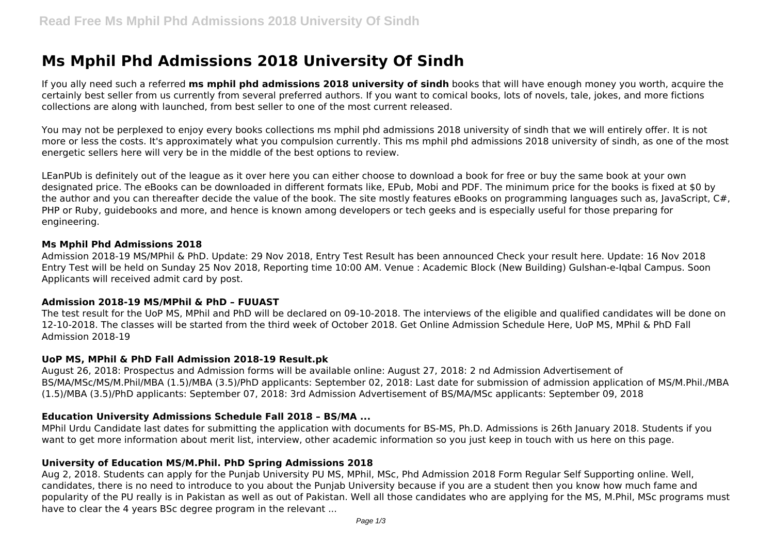# **Ms Mphil Phd Admissions 2018 University Of Sindh**

If you ally need such a referred **ms mphil phd admissions 2018 university of sindh** books that will have enough money you worth, acquire the certainly best seller from us currently from several preferred authors. If you want to comical books, lots of novels, tale, jokes, and more fictions collections are along with launched, from best seller to one of the most current released.

You may not be perplexed to enjoy every books collections ms mphil phd admissions 2018 university of sindh that we will entirely offer. It is not more or less the costs. It's approximately what you compulsion currently. This ms mphil phd admissions 2018 university of sindh, as one of the most energetic sellers here will very be in the middle of the best options to review.

LEanPUb is definitely out of the league as it over here you can either choose to download a book for free or buy the same book at your own designated price. The eBooks can be downloaded in different formats like, EPub, Mobi and PDF. The minimum price for the books is fixed at \$0 by the author and you can thereafter decide the value of the book. The site mostly features eBooks on programming languages such as, lavaScript, C#. PHP or Ruby, guidebooks and more, and hence is known among developers or tech geeks and is especially useful for those preparing for engineering.

#### **Ms Mphil Phd Admissions 2018**

Admission 2018-19 MS/MPhil & PhD. Update: 29 Nov 2018, Entry Test Result has been announced Check your result here. Update: 16 Nov 2018 Entry Test will be held on Sunday 25 Nov 2018, Reporting time 10:00 AM. Venue : Academic Block (New Building) Gulshan-e-Iqbal Campus. Soon Applicants will received admit card by post.

## **Admission 2018-19 MS/MPhil & PhD – FUUAST**

The test result for the UoP MS, MPhil and PhD will be declared on 09-10-2018. The interviews of the eligible and qualified candidates will be done on 12-10-2018. The classes will be started from the third week of October 2018. Get Online Admission Schedule Here, UoP MS, MPhil & PhD Fall Admission 2018-19

## **UoP MS, MPhil & PhD Fall Admission 2018-19 Result.pk**

August 26, 2018: Prospectus and Admission forms will be available online: August 27, 2018: 2 nd Admission Advertisement of BS/MA/MSc/MS/M.Phil/MBA (1.5)/MBA (3.5)/PhD applicants: September 02, 2018: Last date for submission of admission application of MS/M.Phil./MBA (1.5)/MBA (3.5)/PhD applicants: September 07, 2018: 3rd Admission Advertisement of BS/MA/MSc applicants: September 09, 2018

# **Education University Admissions Schedule Fall 2018 – BS/MA ...**

MPhil Urdu Candidate last dates for submitting the application with documents for BS-MS, Ph.D. Admissions is 26th January 2018. Students if you want to get more information about merit list, interview, other academic information so you just keep in touch with us here on this page.

# **University of Education MS/M.Phil. PhD Spring Admissions 2018**

Aug 2, 2018. Students can apply for the Punjab University PU MS, MPhil, MSc, Phd Admission 2018 Form Regular Self Supporting online. Well, candidates, there is no need to introduce to you about the Punjab University because if you are a student then you know how much fame and popularity of the PU really is in Pakistan as well as out of Pakistan. Well all those candidates who are applying for the MS, M.Phil, MSc programs must have to clear the 4 years BSc degree program in the relevant ...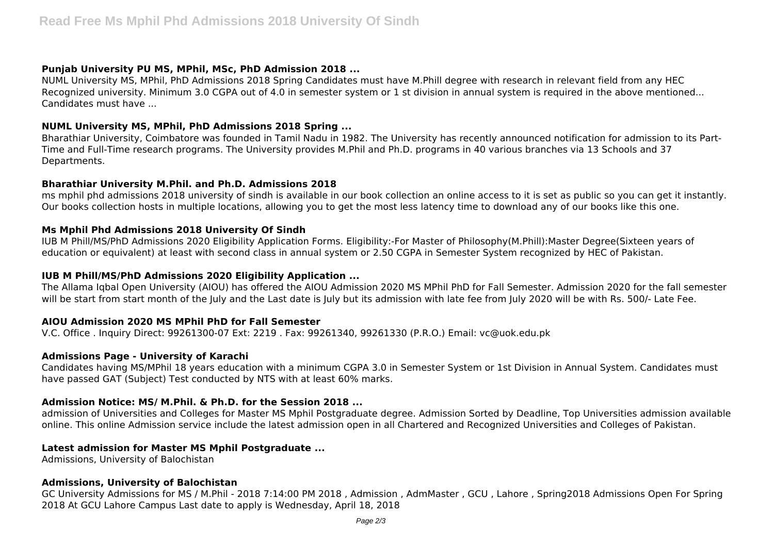# **Punjab University PU MS, MPhil, MSc, PhD Admission 2018 ...**

NUML University MS, MPhil, PhD Admissions 2018 Spring Candidates must have M.Phill degree with research in relevant field from any HEC Recognized university. Minimum 3.0 CGPA out of 4.0 in semester system or 1 st division in annual system is required in the above mentioned... Candidates must have ...

# **NUML University MS, MPhil, PhD Admissions 2018 Spring ...**

Bharathiar University, Coimbatore was founded in Tamil Nadu in 1982. The University has recently announced notification for admission to its Part-Time and Full-Time research programs. The University provides M.Phil and Ph.D. programs in 40 various branches via 13 Schools and 37 Departments.

## **Bharathiar University M.Phil. and Ph.D. Admissions 2018**

ms mphil phd admissions 2018 university of sindh is available in our book collection an online access to it is set as public so you can get it instantly. Our books collection hosts in multiple locations, allowing you to get the most less latency time to download any of our books like this one.

# **Ms Mphil Phd Admissions 2018 University Of Sindh**

IUB M Phill/MS/PhD Admissions 2020 Eligibility Application Forms. Eligibility:-For Master of Philosophy(M.Phill):Master Degree(Sixteen years of education or equivalent) at least with second class in annual system or 2.50 CGPA in Semester System recognized by HEC of Pakistan.

# **IUB M Phill/MS/PhD Admissions 2020 Eligibility Application ...**

The Allama Iqbal Open University (AIOU) has offered the AIOU Admission 2020 MS MPhil PhD for Fall Semester. Admission 2020 for the fall semester will be start from start month of the July and the Last date is July but its admission with late fee from July 2020 will be with Rs. 500/- Late Fee.

## **AIOU Admission 2020 MS MPhil PhD for Fall Semester**

V.C. Office . Inquiry Direct: 99261300-07 Ext: 2219 . Fax: 99261340, 99261330 (P.R.O.) Email: vc@uok.edu.pk

## **Admissions Page - University of Karachi**

Candidates having MS/MPhil 18 years education with a minimum CGPA 3.0 in Semester System or 1st Division in Annual System. Candidates must have passed GAT (Subject) Test conducted by NTS with at least 60% marks.

## **Admission Notice: MS/ M.Phil. & Ph.D. for the Session 2018 ...**

admission of Universities and Colleges for Master MS Mphil Postgraduate degree. Admission Sorted by Deadline, Top Universities admission available online. This online Admission service include the latest admission open in all Chartered and Recognized Universities and Colleges of Pakistan.

## **Latest admission for Master MS Mphil Postgraduate ...**

Admissions, University of Balochistan

## **Admissions, University of Balochistan**

GC University Admissions for MS / M.Phil - 2018 7:14:00 PM 2018 , Admission , AdmMaster , GCU , Lahore , Spring2018 Admissions Open For Spring 2018 At GCU Lahore Campus Last date to apply is Wednesday, April 18, 2018